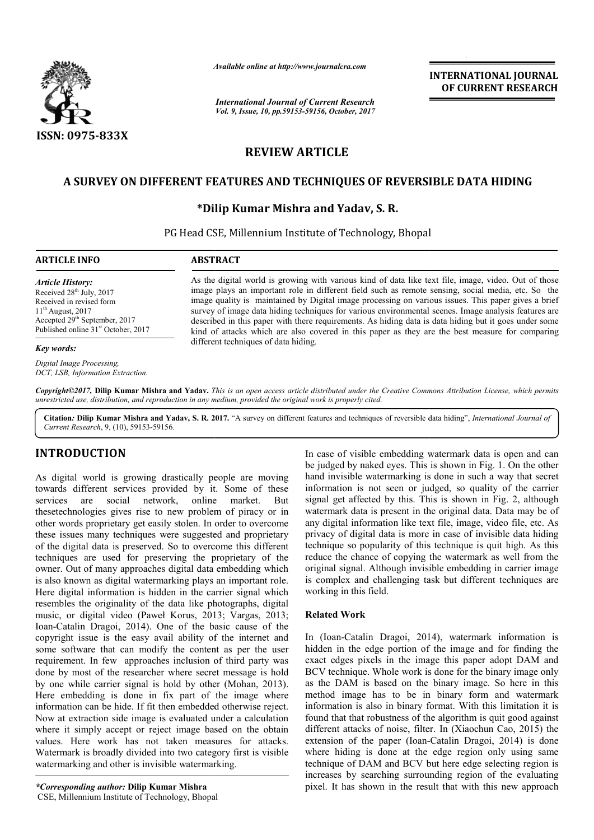

*Available online at http://www.journal http://www.journalcra.com*

*International Journal of Current Research Vol. 9, Issue, 10, pp.59153-59156, October, 2017* **INTERNATIONAL JOURNAL OF CURRENT RESEARCH** 

# **REVIEW ARTICLE**

## **A SURVEY ON DIFFERENT FEATURES AND TECHNIQUES OF REVERSIBLE DATA HIDING A**

#### **\*Dilip Kumar Mishra and Yadav, S. R.**

PG Head CSE, Millennium Institute of Technology, Bhopal

### **ARTICLE INFO ABSTRACT**

*Article History:* Received 28<sup>th</sup> July, 2017 Received in revised form  $11<sup>th</sup>$  August, 2017 Accepted 29<sup>th</sup> September, 2017 Published online 31<sup>st</sup> October, 2017

#### *Key words:*

*Digital Image Processing, DCT, LSB, Information Extraction.*

As the digital world is growing with various kind of data like text file, image, video. Out of those image plays an important role in different field such as remote sensing, social media, etc. So the image quality is maintained by Digital image processing on various issues. This paper gives a brief survey of image data hiding techniques for various environmental scenes. Image analysis features are described in this paper with there requirements. As hiding data is data hiding but it goes under some kind of attacks which are also covered in this paper as they are the best measure for comparing different techniques of data hiding. As the digital world is growing with various kind of data like text file, image, video. Out of those image plays an important role in different field such as remote sensing, social media, etc. So the image quality is maint

Copyright©2017, Dilip Kumar Mishra and Yadav. This is an open access article distributed under the Creative Commons Attribution License, which permits *unrestricted use, distribution, and reproduction in any medium, provided the original work is properly cited.*

Citation: Dilip Kumar Mishra and Yadav, S. R. 2017. "A survey on different features and techniques of reversible data hiding", *International Journal of Current Research*, 9, (10), 59153-59156.

## **INTRODUCTION**

As digital world is growing drastically people are moving towards different services provided by it. Some of these services are social network, online thesetechnologies gives rise to new problem of piracy or in other words proprietary get easily stolen. In order to overcome these issues many techniques were suggested and proprietary of the digital data is preserved. So to overcome this different techniques are used for preserving the proprietary of the owner. Out of many approaches digital data embedding which is also known as digital watermarking plays an important role. Here digital information is hidden in the carrier signal which resembles the originality of the data like photographs, digital music, or digital video (Paweł Korus, 2013; Vargas, 2013; Ioan-Catalin Dragoi, 2014). One of the basic cause of the copyright issue is the easy avail ability of the internet and some software that can modify the content as per the user requirement. In few approaches inclusion of third party was done by most of the researcher where secret message is hold by one while carrier signal is hold by other (Mohan, 2013). Here embedding is done in fix part of the image where information can be hide. If fit then embedded otherwise reject. Now at extraction side image is evaluated under a calculation where it simply accept or reject image based on the obtain values. Here work has not taken measures for attacks. Watermark is broadly divided into two category first is visible watermarking and other is invisible watermarking. market. But ital data is preserved. So to overcome this different<br>s are used for preserving the proprietary of the<br>ut of many approaches digital data embedding which<br>own as digital watermarking plays an important role.<br>al information ION<br>
In case of visible embedding waternank data is open and can<br>
is growing drastically people are moving hand invisible watermarking is done in such a way that scent<br>
secretives provided by it. Some of these information

*\*Corresponding author:* **Dilip Kumar Mishra**  CSE, Millennium Institute of Technology, Bhopal be judged by naked eyes. This is shown in Fig. 1. On the other hand invisible watermarking is done in such a way that secret information is not seen or judged, so quality of the carrier signal get affected by this. This is shown in Fig. 2, although watermark data is present in the original data. Data may be of any digital information like text file, image, video file, etc. As privacy of digital data is more in case of invisible data hiding technique so popularity of this technique is quit high. As this reduce the chance of copying the watermark as well from the original signal. Although invisible embedding in carrier image is complex and challenging task but different techniques are working in this field. In case of visible embedding watermark data is open and can<br>be judged by naked eyes. This is shown in Fig. 1. On the other<br>hand invisible watermarking is done in such a way that secret<br>information is not seen or judged, so

#### **Related Work**

In (Ioan-Catalin Dragoi, 2014), watermark information is hidden in the edge portion of the image and for finding the exact edges pixels in the image this paper adopt DAM and BCV technique. Whole work is done for the binary image only as the DAM is based on the binary image. So here in this method image has to be in binary form and watermark information is also in binary format. With this limitation it is found that that robustness of the algorithm is quit good against different attacks of noise, filter. In (Xiaochun Cao, 2015) the extension of the paper (Ioan-Catalin Dragoi, 2014) is done where hiding is done at the edge region only using same technique of DAM and BCV but here edge selecting region is increases by searching surrounding region of the evaluating pixel. It has shown in the result that with this new approach the edge portion of the image and for finding the s pixels in the image this paper adopt DAM and hique. Whole work is done for the binary image only M is based on the binary image. So here in this has like that robustness g is done at the edge region only using same<br>DAM and BCV but here edge selecting region is<br>searching surrounding region of the evaluating It has result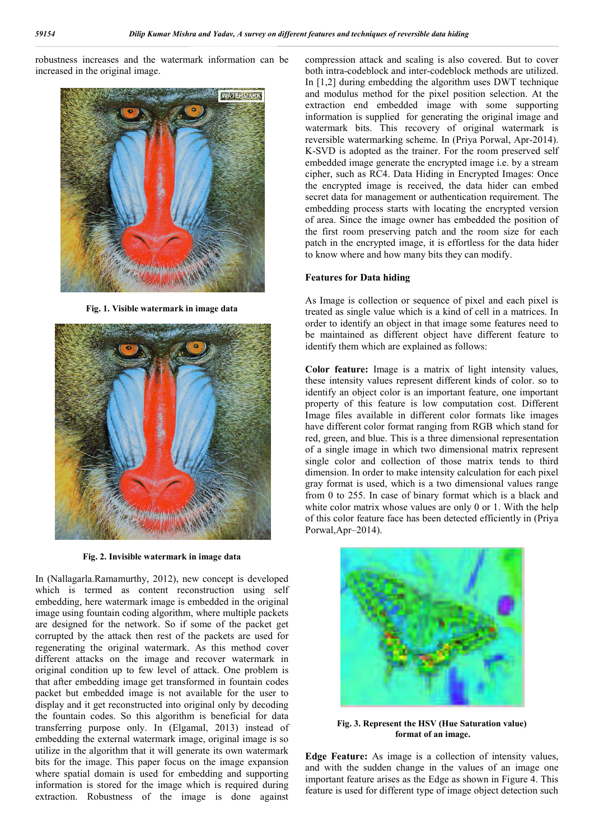robustness increases and the watermark information can be increased in the original image.



**Fig. 1. Visible watermark in image data**



**Fig. 2. Invisible watermark in image data**

In (Nallagarla.Ramamurthy, 2012), new concept is developed which is termed as content reconstruction using self embedding, here watermark image is embedded in the original image using fountain coding algorithm, where multiple packets are designed for the network. So if some of the packet get corrupted by the attack then rest of the packets are used for regenerating the original watermark. As this method cover different attacks on the image and recover watermark in original condition up to few level of attack. One problem is that after embedding image get transformed in fountain codes packet but embedded image is not available for the user to display and it get reconstructed into original only by decoding the fountain codes. So this algorithm is beneficial for data transferring purpose only. In (Elgamal, 2013) instead of embedding the external watermark image, original image is so utilize in the algorithm that it will generate its own watermark bits for the image. This paper focus on the image expansion where spatial domain is used for embedding and supporting information is stored for the image which is required during extraction. Robustness of the image is done against

compression attack and scaling is also covered. But to cover both intra-codeblock and inter-codeblock methods are utilized. In [1,2] during embedding the algorithm uses DWT technique and modulus method for the pixel position selection. At the extraction end embedded image with some supporting information is supplied for generating the original image and watermark bits. This recovery of original watermark is reversible watermarking scheme. In (Priya Porwal, Apr-2014). K-SVD is adopted as the trainer. For the room preserved self embedded image generate the encrypted image i.e. by a stream cipher, such as RC4. Data Hiding in Encrypted Images: Once the encrypted image is received, the data hider can embed secret data for management or authentication requirement. The embedding process starts with locating the encrypted version of area. Since the image owner has embedded the position of the first room preserving patch and the room size for each patch in the encrypted image, it is effortless for the data hider to know where and how many bits they can modify.

#### **Features for Data hiding**

As Image is collection or sequence of pixel and each pixel is treated as single value which is a kind of cell in a matrices. In order to identify an object in that image some features need to be maintained as different object have different feature to identify them which are explained as follows:

**Color feature:** Image is a matrix of light intensity values, these intensity values represent different kinds of color. so to identify an object color is an important feature, one important property of this feature is low computation cost. Different Image files available in different color formats like images have different color format ranging from RGB which stand for red, green, and blue. This is a three dimensional representation of a single image in which two dimensional matrix represent single color and collection of those matrix tends to third dimension. In order to make intensity calculation for each pixel gray format is used, which is a two dimensional values range from 0 to 255. In case of binary format which is a black and white color matrix whose values are only 0 or 1. With the help of this color feature face has been detected efficiently in (Priya Porwal,Apr–2014).



**Fig. 3. Represent the HSV (Hue Saturation value) format of an image.**

**Edge Feature:** As image is a collection of intensity values, and with the sudden change in the values of an image one important feature arises as the Edge as shown in Figure 4. This feature is used for different type of image object detection such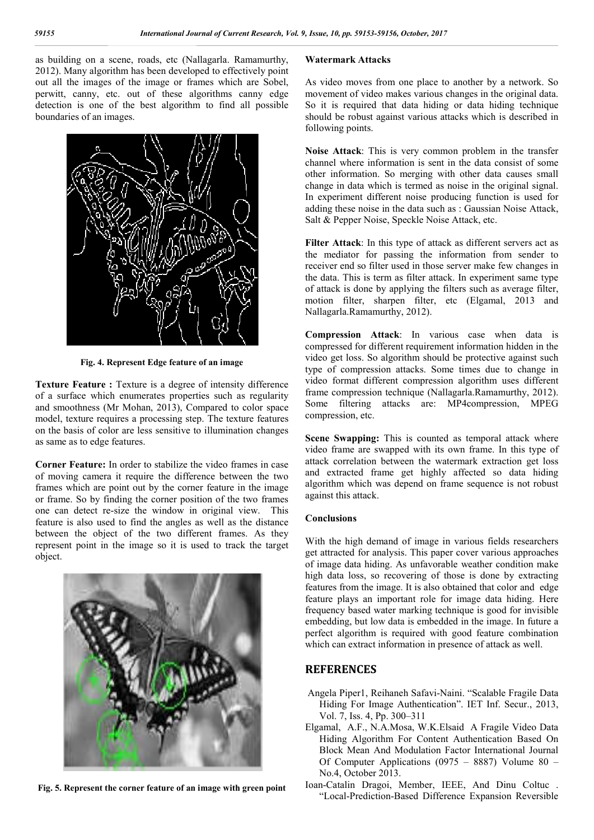as building on a scene, roads, etc (Nallagarla. Ramamurthy, 2012). Many algorithm has been developed to effectively point out all the images of the image or frames which are Sobel, perwitt, canny, etc. out of these algorithms canny edge detection is one of the best algorithm to find all possible boundaries of an images.



**Fig. 4. Represent Edge feature of an image**

**Texture Feature :** Texture is a degree of intensity difference of a surface which enumerates properties such as regularity and smoothness (Mr Mohan, 2013), Compared to color space model, texture requires a processing step. The texture features on the basis of color are less sensitive to illumination changes as same as to edge features.

**Corner Feature:** In order to stabilize the video frames in case of moving camera it require the difference between the two frames which are point out by the corner feature in the image or frame. So by finding the corner position of the two frames one can detect re-size the window in original view. This feature is also used to find the angles as well as the distance between the object of the two different frames. As they represent point in the image so it is used to track the target object.



**Fig. 5. Represent the corner feature of an image with green point**

#### **Watermark Attacks**

As video moves from one place to another by a network. So movement of video makes various changes in the original data. So it is required that data hiding or data hiding technique should be robust against various attacks which is described in following points.

**Noise Attack**: This is very common problem in the transfer channel where information is sent in the data consist of some other information. So merging with other data causes small change in data which is termed as noise in the original signal. In experiment different noise producing function is used for adding these noise in the data such as : Gaussian Noise Attack, Salt & Pepper Noise, Speckle Noise Attack, etc.

**Filter Attack**: In this type of attack as different servers act as the mediator for passing the information from sender to receiver end so filter used in those server make few changes in the data. This is term as filter attack. In experiment same type of attack is done by applying the filters such as average filter, motion filter, sharpen filter, etc (Elgamal, 2013 and Nallagarla.Ramamurthy, 2012).

**Compression Attack**: In various case when data is compressed for different requirement information hidden in the video get loss. So algorithm should be protective against such type of compression attacks. Some times due to change in video format different compression algorithm uses different frame compression technique (Nallagarla.Ramamurthy, 2012). Some filtering attacks are: MP4compression, MPEG compression, etc.

**Scene Swapping:** This is counted as temporal attack where video frame are swapped with its own frame. In this type of attack correlation between the watermark extraction get loss and extracted frame get highly affected so data hiding algorithm which was depend on frame sequence is not robust against this attack.

#### **Conclusions**

With the high demand of image in various fields researchers get attracted for analysis. This paper cover various approaches of image data hiding. As unfavorable weather condition make high data loss, so recovering of those is done by extracting features from the image. It is also obtained that color and edge feature plays an important role for image data hiding. Here frequency based water marking technique is good for invisible embedding, but low data is embedded in the image. In future a perfect algorithm is required with good feature combination which can extract information in presence of attack as well.

#### **REFERENCES**

- Angela Piper1, Reihaneh Safavi-Naini. "Scalable Fragile Data Hiding For Image Authentication". IET Inf. Secur., 2013, Vol. 7, Iss. 4, Pp. 300–311
- Elgamal, A.F., N.A.Mosa, W.K.Elsaid A Fragile Video Data Hiding Algorithm For Content Authentication Based On Block Mean And Modulation Factor International Journal Of Computer Applications (0975 – 8887) Volume 80 – No.4, October 2013.
- Ioan-Catalin Dragoi, Member, IEEE, And Dinu Coltuc . "Local-Prediction-Based Difference Expansion Reversible